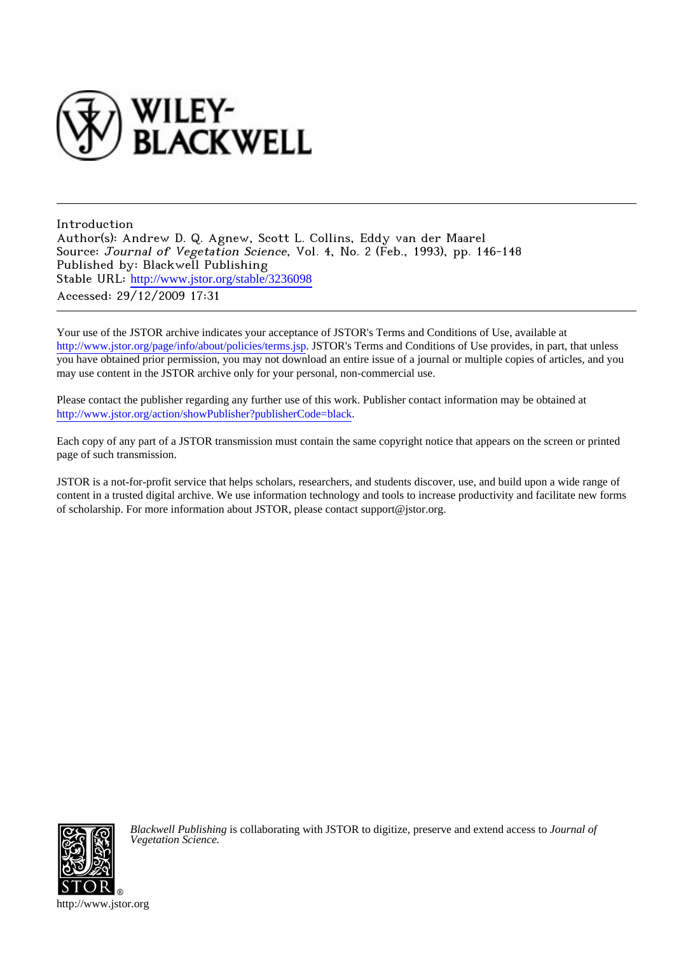

Introduction Author(s): Andrew D. Q. Agnew, Scott L. Collins, Eddy van der Maarel Source: Journal of Vegetation Science, Vol. 4, No. 2 (Feb., 1993), pp. 146-148 Published by: Blackwell Publishing Stable URL: [http://www.jstor.org/stable/3236098](http://www.jstor.org/stable/3236098?origin=JSTOR-pdf) Accessed: 29/12/2009 17:31

Your use of the JSTOR archive indicates your acceptance of JSTOR's Terms and Conditions of Use, available at <http://www.jstor.org/page/info/about/policies/terms.jsp>. JSTOR's Terms and Conditions of Use provides, in part, that unless you have obtained prior permission, you may not download an entire issue of a journal or multiple copies of articles, and you may use content in the JSTOR archive only for your personal, non-commercial use.

Please contact the publisher regarding any further use of this work. Publisher contact information may be obtained at [http://www.jstor.org/action/showPublisher?publisherCode=black.](http://www.jstor.org/action/showPublisher?publisherCode=black)

Each copy of any part of a JSTOR transmission must contain the same copyright notice that appears on the screen or printed page of such transmission.

JSTOR is a not-for-profit service that helps scholars, researchers, and students discover, use, and build upon a wide range of content in a trusted digital archive. We use information technology and tools to increase productivity and facilitate new forms of scholarship. For more information about JSTOR, please contact support@jstor.org.



*Blackwell Publishing* is collaborating with JSTOR to digitize, preserve and extend access to *Journal of Vegetation Science.*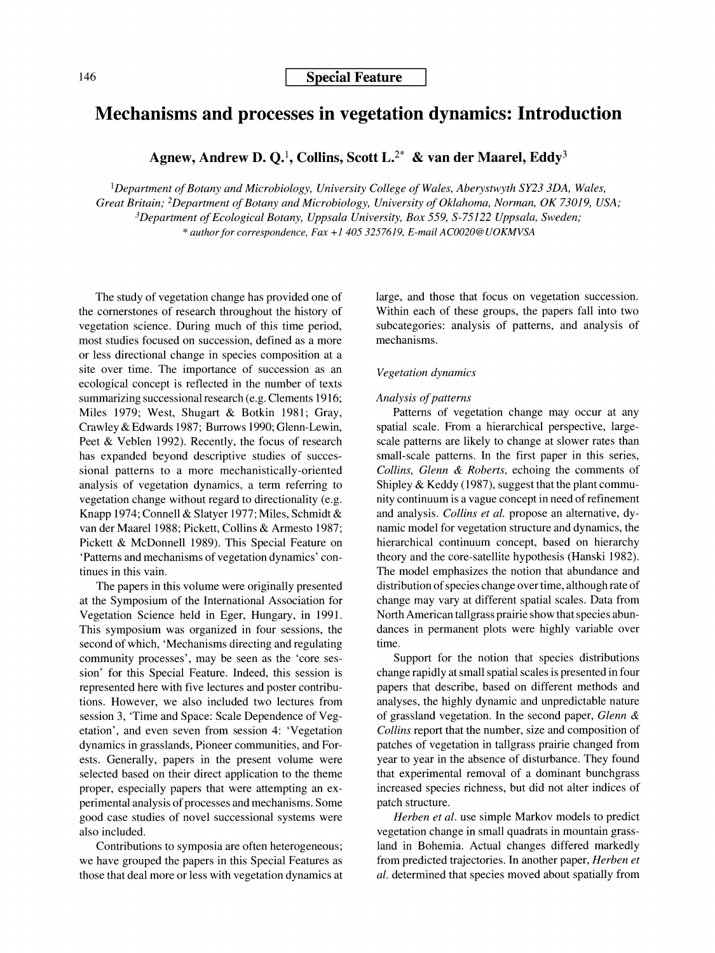# **Mechanisms and processes in vegetation dynamics: Introduction**

**Agnew, Andrew D. Q.1, Collins, Scott L.2\* & van der Maarel, Eddy3** 

**1Department of Botany and Microbiology, University College of Wales, Aberystwyth SY23 3DA, Wales, Great Britain; 2Department of Botany and Microbiology, University of Oklahoma, Norman, OK 73019, USA; 3Department of Ecological Botany, Uppsala University, Box 559, S-75122 Uppsala, Sweden; \* author for correspondence, Fax +1 405 3257619, E-mail AC0020@UOKMVSA** 

**The study of vegetation change has provided one of the cornerstones of research throughout the history of vegetation science. During much of this time period, most studies focused on succession, defined as a more or less directional change in species composition at a site over time. The importance of succession as an ecological concept is reflected in the number of texts summarizing successional research (e.g. Clements 1916; Miles 1979; West, Shugart & Botkin 1981; Gray, Crawley& Edwards 1987; Burrows 1990; Glenn-Lewin, Peet & Veblen 1992). Recently, the focus of research has expanded beyond descriptive studies of successional patterns to a more mechanistically-oriented analysis of vegetation dynamics, a term referring to vegetation change without regard to directionality (e.g. Knapp 1974; Connell & Slatyer 1977; Miles, Schmidt & van der Maarel 1988; Pickett, Collins & Armesto 1987; Pickett & McDonnell 1989). This Special Feature on 'Patterns and mechanisms of vegetation dynamics' continues in this vain.** 

**The papers in this volume were originally presented at the Symposium of the International Association for Vegetation Science held in Eger, Hungary, in 1991. This symposium was organized in four sessions, the second of which, 'Mechanisms directing and regulating community processes', may be seen as the 'core session' for this Special Feature. Indeed, this session is represented here with five lectures and poster contributions. However, we also included two lectures from session 3, 'Time and Space: Scale Dependence of Vegetation', and even seven from session 4: 'Vegetation dynamics in grasslands, Pioneer communities, and Forests. Generally, papers in the present volume were selected based on their direct application to the theme proper, especially papers that were attempting an experimental analysis of processes and mechanisms. Some good case studies of novel successional systems were also included.** 

**Contributions to symposia are often heterogeneous; we have grouped the papers in this Special Features as those that deal more or less with vegetation dynamics at**  **large, and those that focus on vegetation succession. Within each of these groups, the papers fall into two subcategories: analysis of patterns, and analysis of mechanisms.** 

# **Vegetation dynamics**

## **Analysis of patterns**

**Patterns of vegetation change may occur at any spatial scale. From a hierarchical perspective, largescale patterns are likely to change at slower rates than small-scale patterns. In the first paper in this series, Collins, Glenn & Roberts, echoing the comments of Shipley & Keddy (1987), suggest that the plant community continuum is a vague concept in need of refinement and analysis. Collins et al. propose an alternative, dynamic model for vegetation structure and dynamics, the hierarchical continuum concept, based on hierarchy theory and the core-satellite hypothesis (Hanski 1982). The model emphasizes the notion that abundance and distribution of species change over time, although rate of change may vary at different spatial scales. Data from North American tallgrass prairie show that species abundances in permanent plots were highly variable over time.** 

**Support for the notion that species distributions change rapidly at small spatial scales is presented in four papers that describe, based on different methods and analyses, the highly dynamic and unpredictable nature of grassland vegetation. In the second paper, Glenn & Collins report that the number, size and composition of patches of vegetation in tallgrass prairie changed from year to year in the absence of disturbance. They found that experimental removal of a dominant bunchgrass increased species richness, but did not alter indices of patch structure.** 

**Herben et al. use simple Markov models to predict vegetation change in small quadrats in mountain grassland in Bohemia. Actual changes differed markedly from predicted trajectories. In another paper, Herben et al. determined that species moved about spatially from**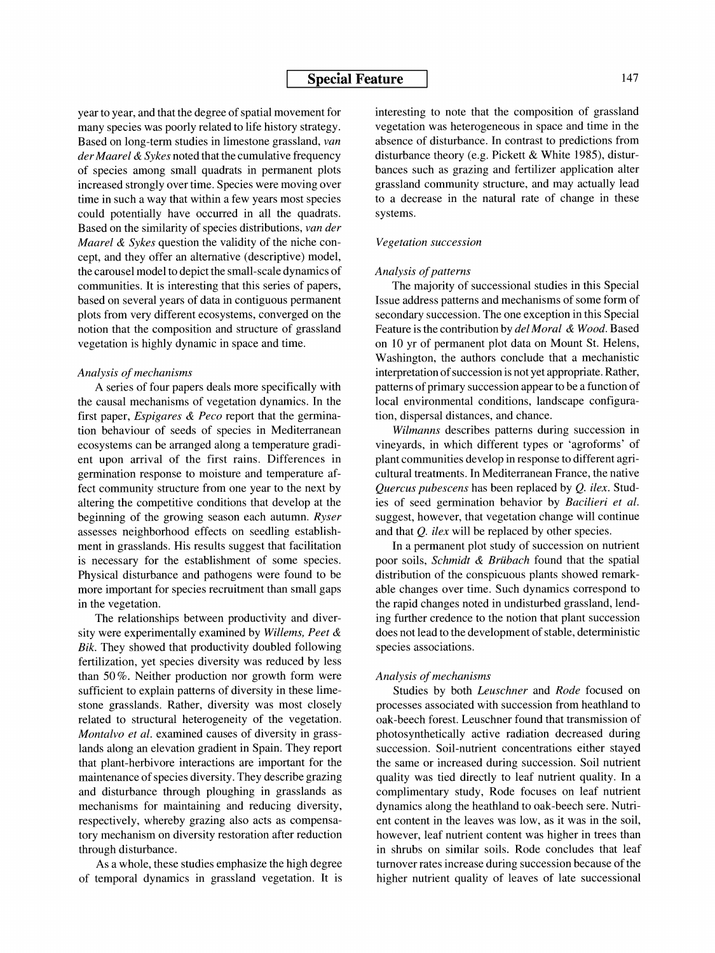# **Special Feature**

**year to year, and that the degree of spatial movement for many species was poorly related to life history strategy. Based on long-term studies in limestone grassland, van derMaarel & Sykes noted that the cumulative frequency of species among small quadrats in permanent plots increased strongly over time. Species were moving over time in such a way that within a few years most species could potentially have occurred in all the quadrats. Based on the similarity of species distributions, van der Maarel & Sykes question the validity of the niche concept, and they offer an alternative (descriptive) model, the carousel model to depict the small-scale dynamics of communities. It is interesting that this series of papers, based on several years of data in contiguous permanent plots from very different ecosystems, converged on the notion that the composition and structure of grassland vegetation is highly dynamic in space and time.** 

#### **Analysis of mechanisms**

**A series of four papers deals more specifically with the causal mechanisms of vegetation dynamics. In the first paper, Espigares & Peco report that the germination behaviour of seeds of species in Mediterranean ecosystems can be arranged along a temperature gradient upon arrival of the first rains. Differences in germination response to moisture and temperature affect community structure from one year to the next by altering the competitive conditions that develop at the beginning of the growing season each autumn. Ryser assesses neighborhood effects on seedling establishment in grasslands. His results suggest that facilitation is necessary for the establishment of some species. Physical disturbance and pathogens were found to be**  more important for species recruitment than small gaps **in the vegetation.** 

**The relationships between productivity and diversity were experimentally examined by Willems, Peet & Bik. They showed that productivity doubled following fertilization, yet species diversity was reduced by less than 50 %. Neither production nor growth form were sufficient to explain patterns of diversity in these limestone grasslands. Rather, diversity was most closely related to structural heterogeneity of the vegetation. Montalvo et al. examined causes of diversity in grasslands along an elevation gradient in Spain. They report that plant-herbivore interactions are important for the maintenance of species diversity. They describe grazing and disturbance through ploughing in grasslands as mechanisms for maintaining and reducing diversity, respectively, whereby grazing also acts as compensatory mechanism on diversity restoration after reduction through disturbance.** 

**As a whole, these studies emphasize the high degree of temporal dynamics in grassland vegetation. It is**  **interesting to note that the composition of grassland vegetation was heterogeneous in space and time in the absence of disturbance. In contrast to predictions from disturbance theory (e.g. Pickett & White 1985), disturbances such as grazing and fertilizer application alter grassland community structure, and may actually lead to a decrease in the natural rate of change in these systems.** 

#### **Vegetation succession**

### **Analysis of patterns**

**The majority of successional studies in this Special Issue address patterns and mechanisms of some form of secondary succession. The one exception in this Special Feature is the contribution by del Moral & Wood. Based on 10 yr of permanent plot data on Mount St. Helens, Washington, the authors conclude that a mechanistic interpretation of succession is not yet appropriate. Rather, patterns of primary succession appear to be a function of local environmental conditions, landscape configuration, dispersal distances, and chance.** 

**Wilmanns describes patterns during succession in vineyards, in which different types or 'agroforms' of plant communities develop in response to different agricultural treatments. In Mediterranean France, the native Quercus pubescens has been replaced by Q. ilex. Studies of seed germination behavior by Bacilieri et al. suggest, however, that vegetation change will continue and that Q. ilex will be replaced by other species.** 

**In a permanent plot study of succession on nutrient poor soils, Schmidt & Briibach found that the spatial distribution of the conspicuous plants showed remarkable changes over time. Such dynamics correspond to the rapid changes noted in undisturbed grassland, lending further credence to the notion that plant succession does not lead to the development of stable, deterministic species associations.** 

#### **Analysis of mechanisms**

**Studies by both Leuschner and Rode focused on processes associated with succession from heathland to oak-beech forest. Leuschner found that transmission of photosynthetically active radiation decreased during succession. Soil-nutrient concentrations either stayed the same or increased during succession. Soil nutrient quality was tied directly to leaf nutrient quality. In a complimentary study, Rode focuses on leaf nutrient dynamics along the heathland to oak-beech sere. Nutrient content in the leaves was low, as it was in the soil, however, leaf nutrient content was higher in trees than in shrubs on similar soils. Rode concludes that leaf turnover rates increase during succession because of the higher nutrient quality of leaves of late successional**